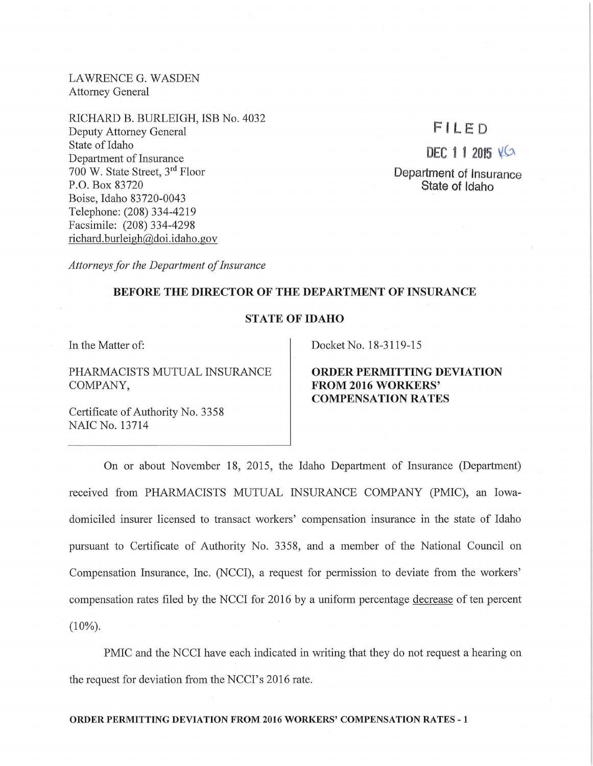LAWRENCE G. WASDEN Attorney General

RICHARD B. BURLEIGH, ISB No. 4032 Deputy Attorney General State of Idaho Department of Insurance 700 W. State Street, 3rd Floor P.O. Box 83720 Boise, Idaho 83720-0043 Telephone: (208) 334-4219 Facsimile: (208) 334-4298 richard. burleigh@doi.idaho.gov

# **F IL ED**

 $DEC 1 1 2015 12$ 

**Department of Insurance State of Idaho** 

*Attorneys for the Department of Insurance* 

#### **BEFORE THE DIRECTOR OF THE DEPARTMENT OF INSURANCE**

## **STATE OF IDAHO**

In the Matter of:

PHARMACISTS MUTUAL INSURANCE COMPANY,

Docket No. 18-3119-15

**ORDER PERMITTING DEVIATION FROM 2016 WORKERS' COMPENSATION RATES** 

Certificate of Authority No. 3358 NAIC No. 13714

On or about November 18, 2015, the Idaho Department of Insurance (Department) received from PHARMACISTS MUTUAL INSURANCE COMPANY (PMIC), an Iowadomiciled insurer licensed to transact workers' compensation insurance in the state of Idaho pursuant to Certificate of Authority No. 3358, and a member of the National Council on Compensation Insurance, Inc. (NCCI), a request for permission to deviate from the workers' compensation rates filed by the NCCI for 2016 by a uniform percentage decrease of ten percent  $(10\%)$ .

PMIC and the NCCI have each indicated in writing that they do not request a hearing on the request for deviation from the NCCI's 2016 rate.

#### **ORDER PERMITTING DEVIATION FROM 2016 WORKERS' COMPENSATION RATES - 1**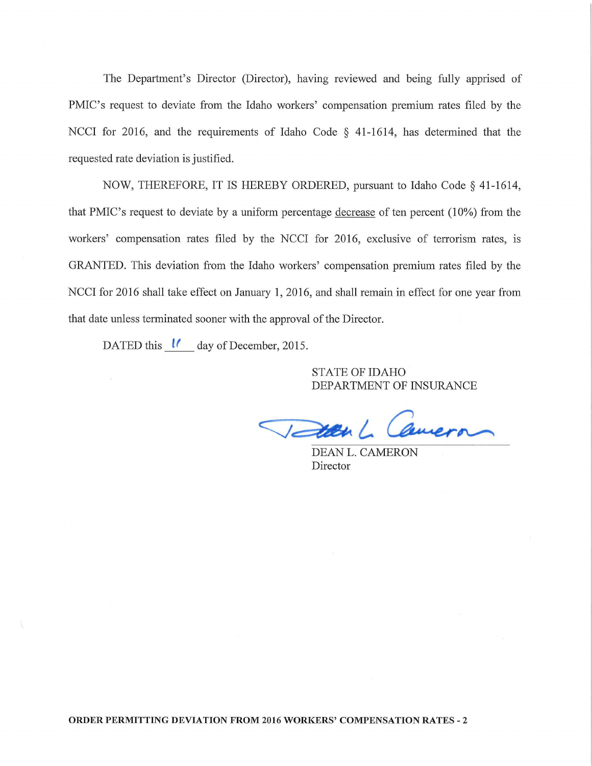The Department's Director (Director), having reviewed and being fully apprised of PMIC's request to deviate from the Idaho workers' compensation premium rates filed by the NCCI for 2016, and the requirements of Idaho Code § 41-1614, has determined that the requested rate deviation is justified.

NOW, THEREFORE, IT IS HEREBY ORDERED, pursuant to Idaho Code § 41-1614, that PMIC's request to deviate by a uniform percentage decrease of ten percent  $(10\%)$  from the workers' compensation rates filed by the NCCI for 2016, exclusive of terrorism rates, is GRANTED. This deviation from the Idaho workers' compensation premium rates filed by the NCCI for 2016 shall take effect on January **1,** 2016, and shall remain in effect for one year from that date unless terminated sooner with the approval of the Director.

DATED this *lf* day of December, 2015.

STATE OF IDAHO DEPARTMENT OF INSURANCE

DEAN L. CAMERON Director

**ORDER PERMITTING DEVIATION FROM 2016 WORKERS' COMPENSATION RATES - 2**